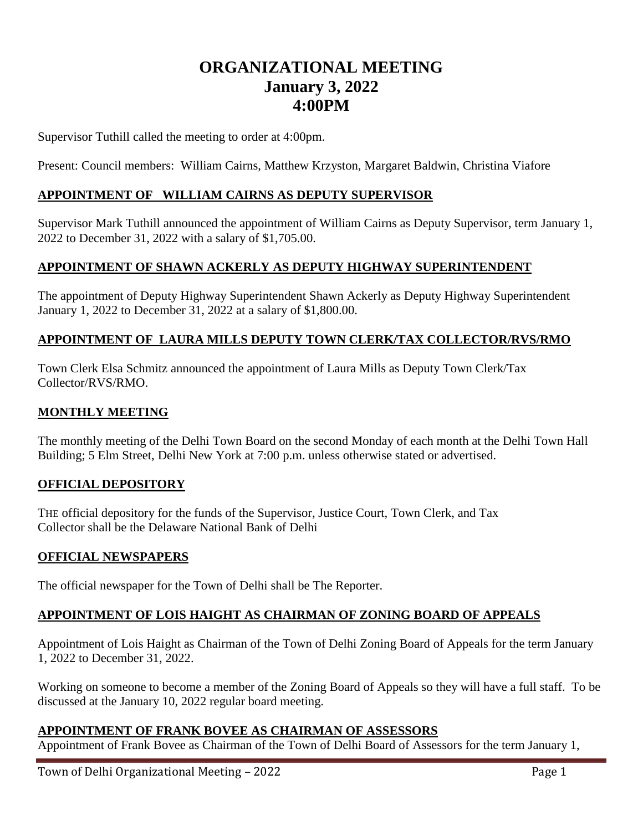# **ORGANIZATIONAL MEETING January 3, 2022 4:00PM**

Supervisor Tuthill called the meeting to order at 4:00pm.

Present: Council members: William Cairns, Matthew Krzyston, Margaret Baldwin, Christina Viafore

#### **APPOINTMENT OF WILLIAM CAIRNS AS DEPUTY SUPERVISOR**

Supervisor Mark Tuthill announced the appointment of William Cairns as Deputy Supervisor, term January 1, 2022 to December 31, 2022 with a salary of \$1,705.00.

#### **APPOINTMENT OF SHAWN ACKERLY AS DEPUTY HIGHWAY SUPERINTENDENT**

The appointment of Deputy Highway Superintendent Shawn Ackerly as Deputy Highway Superintendent January 1, 2022 to December 31, 2022 at a salary of \$1,800.00.

#### **APPOINTMENT OF LAURA MILLS DEPUTY TOWN CLERK/TAX COLLECTOR/RVS/RMO**

Town Clerk Elsa Schmitz announced the appointment of Laura Mills as Deputy Town Clerk/Tax Collector/RVS/RMO.

#### **MONTHLY MEETING**

The monthly meeting of the Delhi Town Board on the second Monday of each month at the Delhi Town Hall Building; 5 Elm Street, Delhi New York at 7:00 p.m. unless otherwise stated or advertised.

#### **OFFICIAL DEPOSITORY**

THE official depository for the funds of the Supervisor, Justice Court, Town Clerk, and Tax Collector shall be the Delaware National Bank of Delhi

#### **OFFICIAL NEWSPAPERS**

The official newspaper for the Town of Delhi shall be The Reporter.

#### **APPOINTMENT OF LOIS HAIGHT AS CHAIRMAN OF ZONING BOARD OF APPEALS**

Appointment of Lois Haight as Chairman of the Town of Delhi Zoning Board of Appeals for the term January 1, 2022 to December 31, 2022.

Working on someone to become a member of the Zoning Board of Appeals so they will have a full staff. To be discussed at the January 10, 2022 regular board meeting.

#### **APPOINTMENT OF FRANK BOVEE AS CHAIRMAN OF ASSESSORS**

Appointment of Frank Bovee as Chairman of the Town of Delhi Board of Assessors for the term January 1,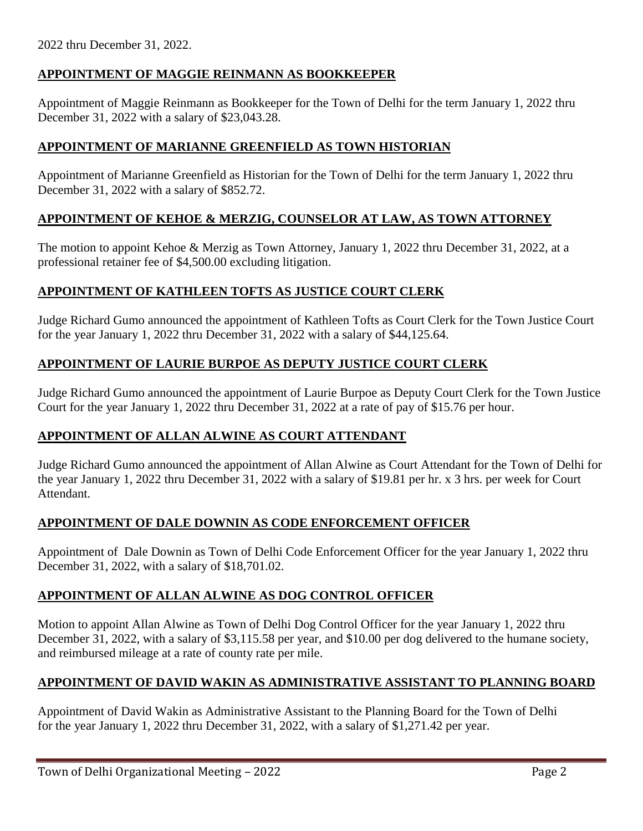2022 thru December 31, 2022.

# **APPOINTMENT OF MAGGIE REINMANN AS BOOKKEEPER**

Appointment of Maggie Reinmann as Bookkeeper for the Town of Delhi for the term January 1, 2022 thru December 31, 2022 with a salary of \$23,043.28.

# **APPOINTMENT OF MARIANNE GREENFIELD AS TOWN HISTORIAN**

Appointment of Marianne Greenfield as Historian for the Town of Delhi for the term January 1, 2022 thru December 31, 2022 with a salary of \$852.72.

# **APPOINTMENT OF KEHOE & MERZIG, COUNSELOR AT LAW, AS TOWN ATTORNEY**

The motion to appoint Kehoe & Merzig as Town Attorney, January 1, 2022 thru December 31, 2022, at a professional retainer fee of \$4,500.00 excluding litigation.

#### **APPOINTMENT OF KATHLEEN TOFTS AS JUSTICE COURT CLERK**

Judge Richard Gumo announced the appointment of Kathleen Tofts as Court Clerk for the Town Justice Court for the year January 1, 2022 thru December 31, 2022 with a salary of \$44,125.64.

#### **APPOINTMENT OF LAURIE BURPOE AS DEPUTY JUSTICE COURT CLERK**

Judge Richard Gumo announced the appointment of Laurie Burpoe as Deputy Court Clerk for the Town Justice Court for the year January 1, 2022 thru December 31, 2022 at a rate of pay of \$15.76 per hour.

#### **APPOINTMENT OF ALLAN ALWINE AS COURT ATTENDANT**

Judge Richard Gumo announced the appointment of Allan Alwine as Court Attendant for the Town of Delhi for the year January 1, 2022 thru December 31, 2022 with a salary of \$19.81 per hr. x 3 hrs. per week for Court Attendant.

#### **APPOINTMENT OF DALE DOWNIN AS CODE ENFORCEMENT OFFICER**

Appointment of Dale Downin as Town of Delhi Code Enforcement Officer for the year January 1, 2022 thru December 31, 2022, with a salary of \$18,701.02.

#### **APPOINTMENT OF ALLAN ALWINE AS DOG CONTROL OFFICER**

Motion to appoint Allan Alwine as Town of Delhi Dog Control Officer for the year January 1, 2022 thru December 31, 2022, with a salary of \$3,115.58 per year, and \$10.00 per dog delivered to the humane society, and reimbursed mileage at a rate of county rate per mile.

#### **APPOINTMENT OF DAVID WAKIN AS ADMINISTRATIVE ASSISTANT TO PLANNING BOARD**

Appointment of David Wakin as Administrative Assistant to the Planning Board for the Town of Delhi for the year January 1, 2022 thru December 31, 2022, with a salary of \$1,271.42 per year.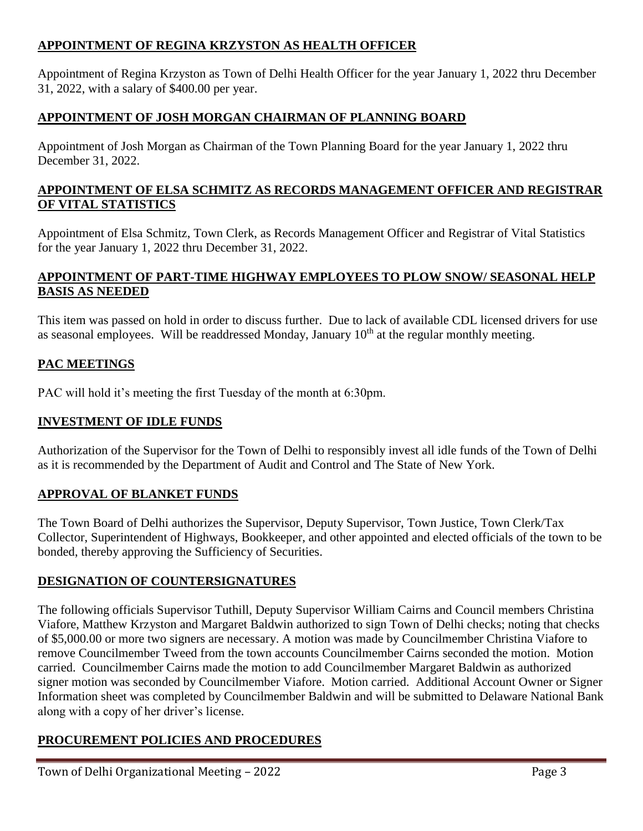# **APPOINTMENT OF REGINA KRZYSTON AS HEALTH OFFICER**

Appointment of Regina Krzyston as Town of Delhi Health Officer for the year January 1, 2022 thru December 31, 2022, with a salary of \$400.00 per year.

# **APPOINTMENT OF JOSH MORGAN CHAIRMAN OF PLANNING BOARD**

Appointment of Josh Morgan as Chairman of the Town Planning Board for the year January 1, 2022 thru December 31, 2022.

#### **APPOINTMENT OF ELSA SCHMITZ AS RECORDS MANAGEMENT OFFICER AND REGISTRAR OF VITAL STATISTICS**

Appointment of Elsa Schmitz, Town Clerk, as Records Management Officer and Registrar of Vital Statistics for the year January 1, 2022 thru December 31, 2022.

# **APPOINTMENT OF PART-TIME HIGHWAY EMPLOYEES TO PLOW SNOW/ SEASONAL HELP BASIS AS NEEDED**

This item was passed on hold in order to discuss further. Due to lack of available CDL licensed drivers for use as seasonal employees. Will be readdressed Monday, January  $10<sup>th</sup>$  at the regular monthly meeting.

#### **PAC MEETINGS**

PAC will hold it's meeting the first Tuesday of the month at 6:30pm.

#### **INVESTMENT OF IDLE FUNDS**

Authorization of the Supervisor for the Town of Delhi to responsibly invest all idle funds of the Town of Delhi as it is recommended by the Department of Audit and Control and The State of New York.

#### **APPROVAL OF BLANKET FUNDS**

The Town Board of Delhi authorizes the Supervisor, Deputy Supervisor, Town Justice, Town Clerk/Tax Collector, Superintendent of Highways, Bookkeeper, and other appointed and elected officials of the town to be bonded, thereby approving the Sufficiency of Securities.

#### **DESIGNATION OF COUNTERSIGNATURES**

The following officials Supervisor Tuthill, Deputy Supervisor William Cairns and Council members Christina Viafore, Matthew Krzyston and Margaret Baldwin authorized to sign Town of Delhi checks; noting that checks of \$5,000.00 or more two signers are necessary. A motion was made by Councilmember Christina Viafore to remove Councilmember Tweed from the town accounts Councilmember Cairns seconded the motion. Motion carried. Councilmember Cairns made the motion to add Councilmember Margaret Baldwin as authorized signer motion was seconded by Councilmember Viafore. Motion carried. Additional Account Owner or Signer Information sheet was completed by Councilmember Baldwin and will be submitted to Delaware National Bank along with a copy of her driver's license.

#### **PROCUREMENT POLICIES AND PROCEDURES**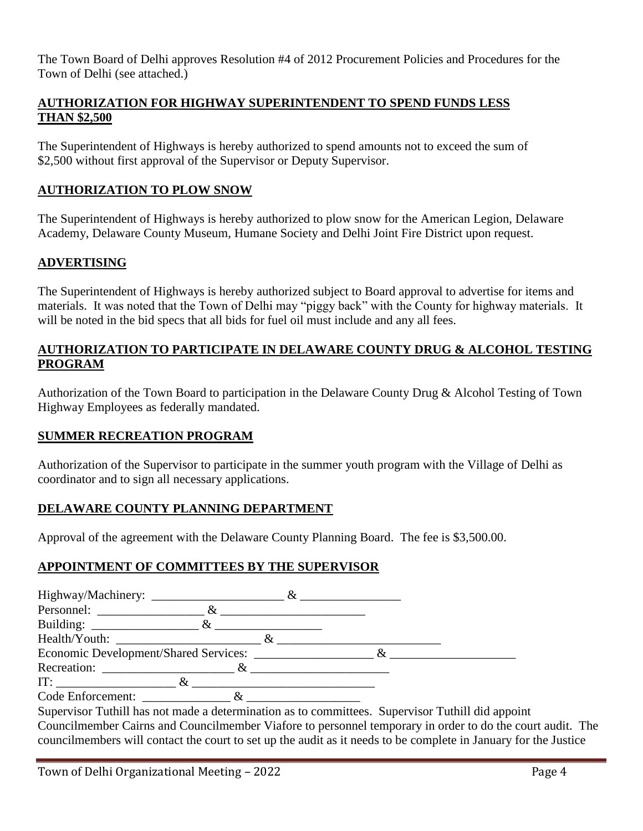The Town Board of Delhi approves Resolution #4 of 2012 Procurement Policies and Procedures for the Town of Delhi (see attached.)

## **AUTHORIZATION FOR HIGHWAY SUPERINTENDENT TO SPEND FUNDS LESS THAN \$2,500**

The Superintendent of Highways is hereby authorized to spend amounts not to exceed the sum of \$2,500 without first approval of the Supervisor or Deputy Supervisor.

# **AUTHORIZATION TO PLOW SNOW**

The Superintendent of Highways is hereby authorized to plow snow for the American Legion, Delaware Academy, Delaware County Museum, Humane Society and Delhi Joint Fire District upon request.

#### **ADVERTISING**

The Superintendent of Highways is hereby authorized subject to Board approval to advertise for items and materials. It was noted that the Town of Delhi may "piggy back" with the County for highway materials. It will be noted in the bid specs that all bids for fuel oil must include and any all fees.

# **AUTHORIZATION TO PARTICIPATE IN DELAWARE COUNTY DRUG & ALCOHOL TESTING PROGRAM**

Authorization of the Town Board to participation in the Delaware County Drug & Alcohol Testing of Town Highway Employees as federally mandated.

#### **SUMMER RECREATION PROGRAM**

Authorization of the Supervisor to participate in the summer youth program with the Village of Delhi as coordinator and to sign all necessary applications.

#### **DELAWARE COUNTY PLANNING DEPARTMENT**

Approval of the agreement with the Delaware County Planning Board. The fee is \$3,500.00.

#### **APPOINTMENT OF COMMITTEES BY THE SUPERVISOR**

| Building: $\&$                                                                                   |  |
|--------------------------------------------------------------------------------------------------|--|
|                                                                                                  |  |
|                                                                                                  |  |
| Recreation: $\&$                                                                                 |  |
| IT: $\&$                                                                                         |  |
| Code Enforcement: &                                                                              |  |
| Supervisor Tuthill has not made a determination as to committees. Supervisor Tuthill did appoint |  |

Councilmember Cairns and Councilmember Viafore to personnel temporary in order to do the court audit. The councilmembers will contact the court to set up the audit as it needs to be complete in January for the Justice